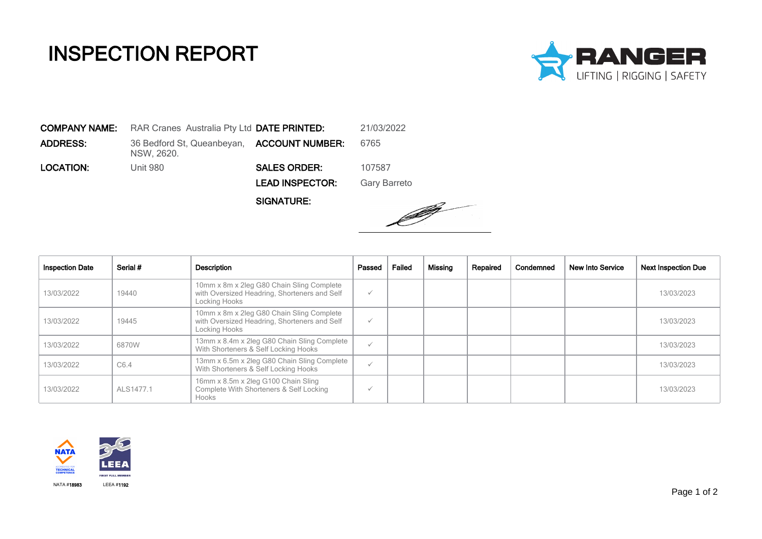## INSPECTION REPORT



COMPANY NAME: RAR Cranes Australia Pty Ltd DATE PRINTED: 21/03/2022 **ADDRESS:** 36 Bedford St, Queanbeyan, **ACCOUNT NUMBER:** 6765 NSW, 2620. LOCATION: Unit 980 SALES ORDER: 107587 LEAD INSPECTOR: Gary Barreto

SIGNATURE:



| <b>Inspection Date</b> | Serial #  | Description                                                                                                | Passed       | Failed | Missing | Repaired | Condemned | <b>New Into Service</b> | <b>Next Inspection Due</b> |
|------------------------|-----------|------------------------------------------------------------------------------------------------------------|--------------|--------|---------|----------|-----------|-------------------------|----------------------------|
| 13/03/2022             | 19440     | 10mm x 8m x 2leg G80 Chain Sling Complete<br>with Oversized Headring, Shorteners and Self<br>Locking Hooks | $\checkmark$ |        |         |          |           |                         | 13/03/2023                 |
| 13/03/2022             | 19445     | 10mm x 8m x 2leg G80 Chain Sling Complete<br>with Oversized Headring, Shorteners and Self<br>Locking Hooks | $\checkmark$ |        |         |          |           |                         | 13/03/2023                 |
| 13/03/2022             | 6870W     | 13mm x 8.4m x 2leg G80 Chain Sling Complete<br>With Shorteners & Self Locking Hooks                        | $\checkmark$ |        |         |          |           |                         | 13/03/2023                 |
| 13/03/2022             | C6.4      | 13mm x 6.5m x 2leg G80 Chain Sling Complete<br>With Shorteners & Self Locking Hooks                        | $\checkmark$ |        |         |          |           |                         | 13/03/2023                 |
| 13/03/2022             | ALS1477.1 | 16mm x 8.5m x 2leg G100 Chain Sling<br>Complete With Shorteners & Self Locking<br><b>Hooks</b>             | $\checkmark$ |        |         |          |           |                         | 13/03/2023                 |